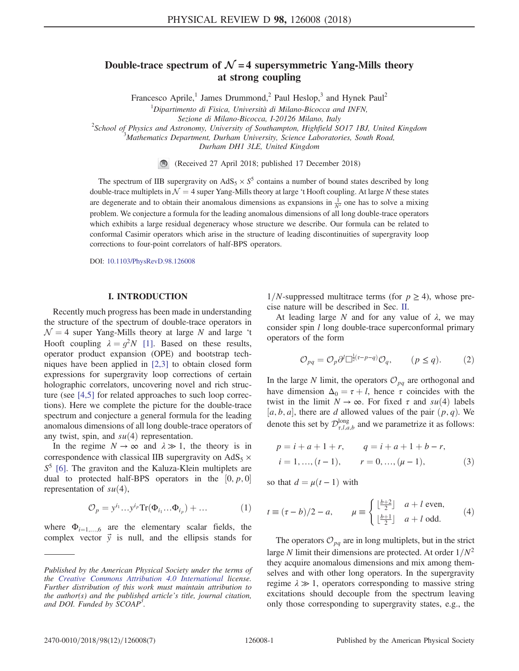# Double-trace spectrum of  $\mathcal{N} = 4$  supersymmetric Yang-Mills theory at strong coupling

Francesco Aprile,<sup>1</sup> James Drummond,<sup>2</sup> Paul Heslop,<sup>3</sup> and Hynek Paul<sup>2</sup>  ${}^{1}$ Dipartimento di Fisica, Università di Milano-Bicocca and INFN, Sezione di Milano-Bicocca, I-20126 Milano, Italy<br><sup>2</sup>Sekool of Physics and Astronomy, University of Southampton, Highfield St<sup>2</sup> School of Physics and Astronomy, University of Southampton, Highfield SO17 1BJ, United Kingdom<br><sup>3</sup>Mathematics Department Durham University Science Laboratories, South Boad  ${}^{3}$ Mathematics Department, Durham University, Science Laboratories, South Road,

Durham DH1 3LE, United Kingdom

(Received 27 April 2018; published 17 December 2018)

The spectrum of IIB supergravity on  $AdS_5 \times S^5$  contains a number of bound states described by long double-trace multiplets in  $\mathcal{N} = 4$  super Yang-Mills theory at large 't Hooft coupling. At large N these states are degenerate and to obtain their anomalous dimensions as expansions in  $\frac{1}{N^2}$  one has to solve a mixing problem. We conjecture a formula for the leading anomalous dimensions of all long double-trace operators which exhibits a large residual degeneracy whose structure we describe. Our formula can be related to conformal Casimir operators which arise in the structure of leading discontinuities of supergravity loop corrections to four-point correlators of half-BPS operators.

DOI: [10.1103/PhysRevD.98.126008](https://doi.org/10.1103/PhysRevD.98.126008)

### I. INTRODUCTION

Recently much progress has been made in understanding the structure of the spectrum of double-trace operators in  $\mathcal{N} = 4$  super Yang-Mills theory at large N and large 't Hooft coupling  $\lambda = q^2N$  [\[1\].](#page-5-0) Based on these results, operator product expansion (OPE) and bootstrap techniques have been applied in [\[2,3\]](#page-5-1) to obtain closed form expressions for supergravity loop corrections of certain holographic correlators, uncovering novel and rich structure (see [\[4,5\]](#page-5-2) for related approaches to such loop corrections). Here we complete the picture for the double-trace spectrum and conjecture a general formula for the leading anomalous dimensions of all long double-trace operators of any twist, spin, and  $su(4)$  representation.

In the regime  $N \to \infty$  and  $\lambda \gg 1$ , the theory is in correspondence with classical IIB supergravity on  $AdS_5 \times$  $S<sup>5</sup>$  [\[6\].](#page-5-3) The graviton and the Kaluza-Klein multiplets are dual to protected half-BPS operators in the  $[0, p, 0]$ representation of  $su(4)$ ,

$$
\mathcal{O}_p = y^{i_1} \dots y^{i_p} \text{Tr}(\Phi_{i_1} \dots \Phi_{i_p}) + \dots \tag{1}
$$

where  $\Phi_{i=1,...,6}$  are the elementary scalar fields, the complex vector  $\vec{y}$  is null, and the ellipsis stands for

1/N-suppressed multitrace terms (for  $p \ge 4$ ), whose precise nature will be described in Sec. [II](#page-1-0).

At leading large N and for any value of  $\lambda$ , we may consider spin *l* long double-trace superconformal primary operators of the form

$$
\mathcal{O}_{pq} = \mathcal{O}_p \partial^l \Box^{\frac{1}{2}(r-p-q)} \mathcal{O}_q, \qquad (p \le q). \tag{2}
$$

In the large N limit, the operators  $\mathcal{O}_{pq}$  are orthogonal and have dimension  $\Delta_0 = \tau + l$ , hence  $\tau$  coincides with the twist in the limit  $N \to \infty$ . For fixed  $\tau$  and  $su(4)$  labels [a, b, a], there are d allowed values of the pair  $(p, q)$ . We denote this set by  $\mathcal{D}^{\text{long}}_{\tau,l,a,b}$  and we parametrize it as follows:

<span id="page-0-0"></span>
$$
p = i + a + 1 + r, \t q = i + a + 1 + b - r,
$$
  
\n
$$
i = 1, ..., (t - 1), \t r = 0, ..., (\mu - 1),
$$
\n(3)

so that  $d = \mu(t - 1)$  with

$$
t \equiv (\tau - b)/2 - a, \qquad \mu \equiv \begin{cases} \left\lfloor \frac{b+2}{2} \right\rfloor & a+l \text{ even,} \\ \left\lfloor \frac{b+1}{2} \right\rfloor & a+l \text{ odd.} \end{cases} \tag{4}
$$

The operators  $\mathcal{O}_{pq}$  are in long multiplets, but in the strict large N limit their dimensions are protected. At order  $1/N^2$ they acquire anomalous dimensions and mix among themselves and with other long operators. In the supergravity regime  $\lambda \gg 1$ , operators corresponding to massive string excitations should decouple from the spectrum leaving only those corresponding to supergravity states, e.g., the

Published by the American Physical Society under the terms of the [Creative Commons Attribution 4.0 International](https://creativecommons.org/licenses/by/4.0/) license. Further distribution of this work must maintain attribution to the author(s) and the published article's title, journal citation, and DOI. Funded by SCOAP<sup>3</sup>.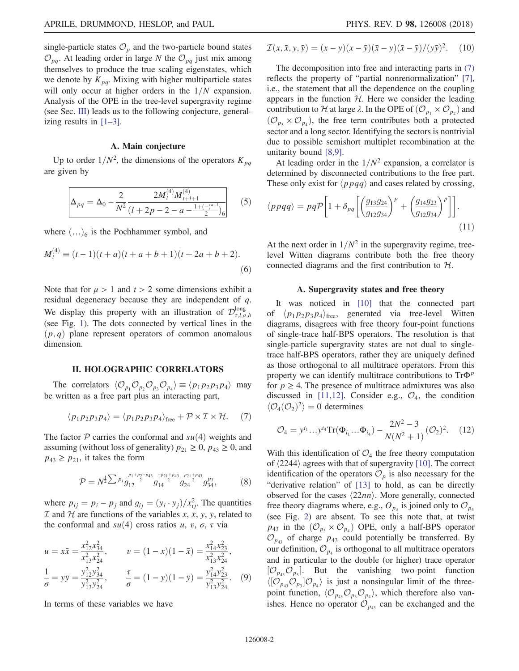single-particle states  $\mathcal{O}_p$  and the two-particle bound states  $\mathcal{O}_{pq}$ . At leading order in large N the  $\mathcal{O}_{pq}$  just mix among themselves to produce the true scaling eigenstates, which we denote by  $K_{pq}$ . Mixing with higher multiparticle states will only occur at higher orders in the  $1/N$  expansion. Analysis of the OPE in the tree-level supergravity regime (see Sec. [III](#page-3-0)) leads us to the following conjecture, generalizing results in [\[1](#page-5-0)–3].

### A. Main conjecture

<span id="page-1-3"></span>Up to order  $1/N^2$ , the dimensions of the operators  $K_{pa}$ are given by

$$
\Delta_{pq} = \Delta_0 - \frac{2}{N^2} \frac{2M_t^{(4)} M_{t+l+1}^{(4)}}{(l+2p-2-a-\frac{1+(-)^{a+l}}{2})_6} \tag{5}
$$

where  $(...)_6$  is the Pochhammer symbol, and

$$
M_t^{(4)} \equiv (t-1)(t+a)(t+a+b+1)(t+2a+b+2).
$$
\n(6)

Note that for  $\mu > 1$  and  $t > 2$  some dimensions exhibit a residual degeneracy because they are independent of q. We display this property with an illustration of  $\mathcal{D}^{\text{long}}_{\tau,l,a,b}$ (see Fig. [1](#page-2-0)). The dots connected by vertical lines in the  $(p, q)$  plane represent operators of common anomalous dimension.

# <span id="page-1-0"></span>II. HOLOGRAPHIC CORRELATORS

<span id="page-1-1"></span>The correlators  $\langle \mathcal{O}_{p_1} \mathcal{O}_{p_2} \mathcal{O}_{p_3} \mathcal{O}_{p_4} \rangle \equiv \langle p_1 p_2 p_3 p_4 \rangle$  may be written as a free part plus an interacting part,

$$
\langle p_1 p_2 p_3 p_4 \rangle = \langle p_1 p_2 p_3 p_4 \rangle_{\text{free}} + \mathcal{P} \times \mathcal{I} \times \mathcal{H}.
$$
 (7)

The factor  $P$  carries the conformal and  $su(4)$  weights and assuming (without loss of generality)  $p_{21} \ge 0$ ,  $p_{43} \ge 0$ , and  $p_{43} \geq p_{21}$ , it takes the form

$$
\mathcal{P} = N^{\frac{1}{2}\sum p_i} \frac{p_1 + p_2 - p_{43}}{g_{12}^2} \frac{-p_{21} + p_{43}}{g_{14}^2} \frac{p_{21} + p_{43}}{g_{24}^2} g_{34}^{p_3},\tag{8}
$$

where  $p_{ij} = p_i - p_j$  and  $g_{ij} = (y_i \cdot y_j)/x_{ij}^2$ . The quantities  $\mathcal I$  and  $\mathcal H$  are functions of the variables  $x, \bar x, y, \bar y$ , related to the conformal and  $su(4)$  cross ratios u, v,  $\sigma$ ,  $\tau$  via

$$
u = x\bar{x} = \frac{x_{12}^2 x_{34}^2}{x_{13}^2 x_{24}^2}, \qquad v = (1 - x)(1 - \bar{x}) = \frac{x_{14}^2 x_{23}^2}{x_{13}^2 x_{24}^2},
$$
  
\n
$$
\frac{1}{\sigma} = y\bar{y} = \frac{y_{12}^2 y_{34}^2}{y_{13}^2 y_{24}^2}, \qquad \frac{\tau}{\sigma} = (1 - y)(1 - \bar{y}) = \frac{y_{14}^2 y_{23}^2}{y_{13}^2 y_{24}^2}.
$$
 (9)

In terms of these variables we have

$$
\mathcal{I}(x,\bar{x},y,\bar{y}) = (x-y)(x-\bar{y})(\bar{x}-y)(\bar{x}-\bar{y})/(y\bar{y})^2.
$$
 (10)

The decomposition into free and interacting parts in [\(7\)](#page-1-1) reflects the property of "partial nonrenormalization" [\[7\]](#page-5-4), i.e., the statement that all the dependence on the coupling appears in the function  $H$ . Here we consider the leading contribution to H at large  $\lambda$ . In the OPE of  $(\mathcal{O}_{p_1} \times \mathcal{O}_{p_2})$  and  $({\mathcal O}_{p_3} \times {\mathcal O}_{p_4})$ , the free term contributes both a protected sector and a long sector. Identifying the sectors is nontrivial due to possible semishort multiplet recombination at the unitarity bound [\[8,9\]](#page-5-5).

<span id="page-1-2"></span>At leading order in the  $1/N^2$  expansion, a correlator is determined by disconnected contributions to the free part. These only exist for  $\langle p \, p \, q \, q \rangle$  and cases related by crossing,

$$
\langle ppqq \rangle = pq\mathcal{P}\left[1 + \delta_{pq}\left[\left(\frac{g_{13}g_{24}}{g_{12}g_{34}}\right)^p + \left(\frac{g_{14}g_{23}}{g_{12}g_{34}}\right)^p\right]\right].
$$
\n(11)

At the next order in  $1/N^2$  in the supergravity regime, treelevel Witten diagrams contribute both the free theory connected diagrams and the first contribution to H.

### A. Supergravity states and free theory

It was noticed in [\[10\]](#page-5-6) that the connected part of  $\langle p_1p_2p_3p_4 \rangle_{\text{free}}$ , generated via tree-level Witten diagrams, disagrees with free theory four-point functions of single-trace half-BPS operators. The resolution is that single-particle supergravity states are not dual to singletrace half-BPS operators, rather they are uniquely defined as those orthogonal to all multitrace operators. From this property we can identify multitrace contributions to  $Tr\Phi^p$ for  $p \geq 4$ . The presence of multitrace admixtures was also discussed in [\[11,12\]](#page-5-7). Consider e.g.,  $\mathcal{O}_4$ , the condition  $\langle \mathcal{O}_4(\mathcal{O}_2)^2 \rangle = 0$  determines

$$
\mathcal{O}_4 = y^{i_1} \dots y^{i_4} \text{Tr}(\Phi_{i_1} \dots \Phi_{i_4}) - \frac{2N^2 - 3}{N(N^2 + 1)} (\mathcal{O}_2)^2. \tag{12}
$$

With this identification of  $\mathcal{O}_4$  the free theory computation of  $\langle 2244 \rangle$  agrees with that of supergravity [\[10\].](#page-5-6) The correct identification of the operators  $\mathcal{O}_p$  is also necessary for the "derivative relation" of [\[13\]](#page-5-8) to hold, as can be directly observed for the cases  $\langle 22nn \rangle$ . More generally, connected free theory diagrams where, e.g.,  $O_{p_3}$  is joined only to  $O_{p_4}$ (see Fig. [2](#page-2-1)) are absent. To see this note that, at twist  $p_{43}$  in the  $(\mathcal{O}_{p_3} \times \mathcal{O}_{p_4})$  OPE, only a half-BPS operator  $\mathcal{O}_{p_{43}}$  of charge  $p_{43}$  could potentially be transferred. By our definition,  $\mathcal{O}_{p_4}$  is orthogonal to all multitrace operators and in particular to the double (or higher) trace operator  $[O_{p_{43}}O_{p_3}]$ . But the vanishing two-point function  $\langle [\mathcal{O}_{p_{43}} \mathcal{O}_{p_3}] \mathcal{O}_{p_4} \rangle$  is just a nonsingular limit of the threepoint function,  $\langle \mathcal{O}_{p_{43}} \mathcal{O}_{p_3} \mathcal{O}_{p_4} \rangle$ , which therefore also vanishes. Hence no operator  $\mathcal{O}_{p_{43}}$  can be exchanged and the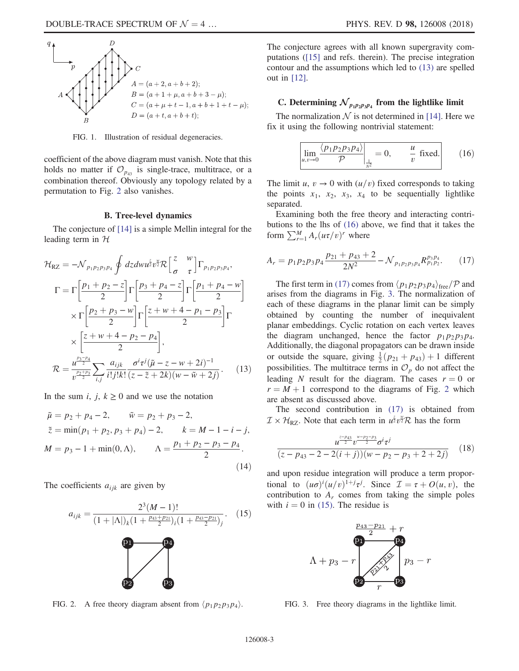<span id="page-2-0"></span>

FIG. 1. Illustration of residual degeneracies.

coefficient of the above diagram must vanish. Note that this holds no matter if  $\mathcal{O}_{p_{43}}$  is single-trace, multitrace, or a combination thereof. Obviously any topology related by a permutation to Fig. [2](#page-2-1) also vanishes.

### B. Tree-level dynamics

<span id="page-2-2"></span>The conjecture of [\[14\]](#page-6-0) is a simple Mellin integral for the leading term in  $H$ 

$$
\mathcal{H}_{\text{RZ}} = -\mathcal{N}_{p_1 p_2 p_3 p_4} \oint dz dw \tilde{u}^z \tilde{v}^x \mathcal{R} \Big[ \frac{z}{\sigma} \Big] \Gamma_{p_1 p_2 p_3 p_4},
$$
  
\n
$$
\Gamma = \Gamma \Big[ \frac{p_1 + p_2 - z}{2} \Big] \Gamma \Big[ \frac{p_3 + p_4 - z}{2} \Big] \Gamma \Big[ \frac{p_1 + p_4 - w}{2} \Big]
$$
  
\n
$$
\times \Gamma \Big[ \frac{p_2 + p_3 - w}{2} \Big] \Gamma \Big[ \frac{z + w + 4 - p_1 - p_3}{2} \Big] \Gamma
$$
  
\n
$$
\times \Big[ \frac{z + w + 4 - p_2 - p_4}{2} \Big],
$$
  
\n
$$
\mathcal{R} = \frac{u^{\frac{p_3 - p_4}{2}}}{v^{\frac{p_2 + p_3}{2}} \sum_{i,j} \frac{a_{ijk}}{i! j! k!} \frac{\sigma^i \tau^j (\tilde{\mu} - z - w + 2i)^{-1}}{(z - \tilde{z} + 2k)(w - \tilde{w} + 2j)}.
$$
 (13)

In the sum i, j,  $k \geq 0$  and we use the notation

$$
\tilde{\mu} = p_2 + p_4 - 2, \qquad \tilde{w} = p_2 + p_3 - 2,
$$
  
\n
$$
\tilde{z} = \min(p_1 + p_2, p_3 + p_4) - 2, \qquad k = M - 1 - i - j,
$$
  
\n
$$
M = p_3 - 1 + \min(0, \Lambda), \qquad \Lambda = \frac{p_1 + p_2 - p_3 - p_4}{2}.
$$
\n(14)

<span id="page-2-6"></span>The coefficients  $a_{ijk}$  are given by

<span id="page-2-1"></span>
$$
a_{ijk} = \frac{2^3 (M-1)!}{(1+|\Lambda|)_k (1 + \frac{p_{43} + p_{21}}{2})_i (1 + \frac{p_{43} - p_{21}}{2})_j}.
$$
 (15)

FIG. 2. A free theory diagram absent from  $\langle p_1p_2p_3p_4 \rangle$ .

The conjecture agrees with all known supergravity computations ([\[15\]](#page-6-1) and refs. therein). The precise integration contour and the assumptions which led to [\(13\)](#page-2-2) are spelled out in [\[12\]](#page-5-9).

# C. Determining  $\mathcal{N}_{p_1p_2p_3p_4}$  from the lightlike limit

<span id="page-2-3"></span>The normalization  $N$  is not determined in [\[14\]](#page-6-0). Here we fix it using the following nontrivial statement:

$$
\lim_{u,v \to 0} \frac{\langle p_1 p_2 p_3 p_4 \rangle}{\mathcal{P}} \bigg|_{\frac{1}{N^2}} = 0, \qquad \frac{u}{v} \text{ fixed.} \qquad (16)
$$

The limit  $u, v \rightarrow 0$  with  $(u/v)$  fixed corresponds to taking the points  $x_1$ ,  $x_2$ ,  $x_3$ ,  $x_4$  to be sequentially lightlike separated.

<span id="page-2-4"></span>Examining both the free theory and interacting contributions to the lhs of [\(16\)](#page-2-3) above, we find that it takes the form  $\sum_{r=1}^{M} A_r(u\tau/v)^r$  where

$$
A_r = p_1 p_2 p_3 p_4 \frac{p_{21} + p_{43} + 2}{2N^2} - \mathcal{N}_{p_1 p_2 p_3 p_4} R_{p_1 p_2}^{p_3 p_4}.
$$
 (17)

The first term in [\(17\)](#page-2-4) comes from  $\langle p_1p_2p_3p_4 \rangle_{\text{free}}/P$  and arises from the diagrams in Fig. [3](#page-2-5). The normalization of each of these diagrams in the planar limit can be simply obtained by counting the number of inequivalent planar embeddings. Cyclic rotation on each vertex leaves the diagram unchanged, hence the factor  $p_1p_2p_3p_4$ . Additionally, the diagonal propagators can be drawn inside or outside the square, giving  $\frac{1}{2}(p_{21} + p_{43}) + 1$  different possibilities. The multitrace terms in  $\mathcal{O}_p$  do not affect the leading N result for the diagram. The cases  $r = 0$  or  $r = M + 1$  correspond to the diagrams of Fig. [2](#page-2-1) which are absent as discussed above.

The second contribution in [\(17\)](#page-2-4) is obtained from  $\mathcal{I} \times \mathcal{H}_{\text{RZ}}$ . Note that each term in  $u^{\frac{2}{2}}v^{\frac{18}{2}}\mathcal{R}$  has the form

$$
\frac{u^{\frac{z-p_{43}}{2}}v^{\frac{w-p_2-p_3}{2}}\sigma^i\tau^j}{(z-p_{43}-2-2(i+j))(w-p_2-p_3+2+2j)}
$$
(18)

and upon residue integration will produce a term proportional to  $(u\sigma)^{i}(u/v)^{1+j}\tau^{j}$ . Since  $\mathcal{I} = \tau + O(u, v)$ , the contribution to  $A_r$  comes from taking the simple poles with  $i = 0$  in [\(15\)](#page-2-6). The residue is

<span id="page-2-5"></span>

FIG. 3. Free theory diagrams in the lightlike limit.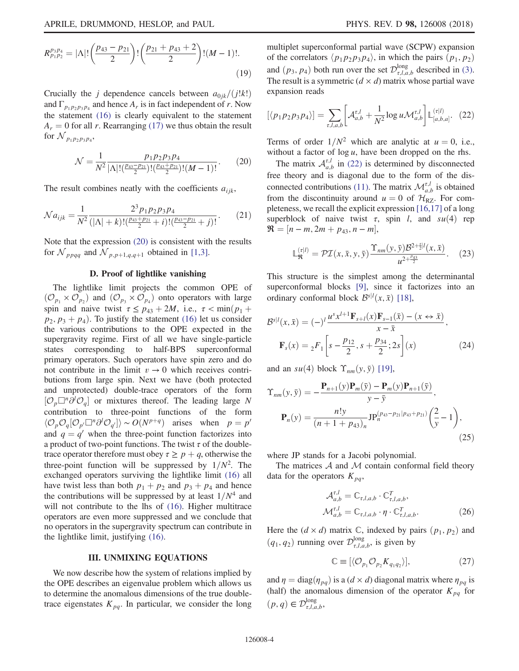$$
R_{p_1p_2}^{p_3p_4} = |\Lambda|! \left(\frac{p_{43} - p_{21}}{2}\right)! \left(\frac{p_{21} + p_{43} + 2}{2}\right)! (M - 1)!.
$$
\n(19)

<span id="page-3-1"></span>Crucially the j dependence cancels between  $a_{0jk}/(j!k!)$ and  $\Gamma_{p_1p_2p_3p_4}$  and hence  $A_r$  is in fact independent of r. Now the statement [\(16\)](#page-2-3) is clearly equivalent to the statement  $A_r = 0$  for all r. Rearranging [\(17\)](#page-2-4) we thus obtain the result for  ${\cal N}_{p_1p_2p_3p_4},$ 

$$
\mathcal{N} = \frac{1}{N^2} \frac{p_1 p_2 p_3 p_4}{|\Lambda|! \left(\frac{p_{43} - p_{21}}{2}\right)! \left(\frac{p_{43} + p_{21}}{2}\right)! (M - 1)!}.
$$
 (20)

The result combines neatly with the coefficients  $a_{ijk}$ ,

$$
\mathcal{N}a_{ijk} = \frac{1}{N^2} \frac{2^3 p_1 p_2 p_3 p_4}{(|\Lambda| + k)! \left(\frac{p_{43} + p_{21}}{2} + i\right)! \left(\frac{p_{43} - p_{21}}{2} + j\right)!}.
$$
 (21)

Note that the expression [\(20\)](#page-3-1) is consistent with the results for  $\mathcal{N}_{ppqq}$  and  $\mathcal{N}_{p,p+1,q,q+1}$  obtained in [\[1,3\]](#page-5-0).

### D. Proof of lightlike vanishing

The lightlike limit projects the common OPE of  $({\cal O}_{p_1} \times {\cal O}_{p_2})$  and  $({\cal O}_{p_3} \times {\cal O}_{p_4})$  onto operators with large spin and naive twist  $\tau \leq p_{43} + 2M$ , i.e.,  $\tau < \min(p_1 + p_2)$  $p_2, p_3 + p_4$ ). To justify the statement [\(16\)](#page-2-3) let us consider the various contributions to the OPE expected in the supergravity regime. First of all we have single-particle states corresponding to half-BPS superconformal primary operators. Such operators have spin zero and do not contribute in the limit  $v \to 0$  which receives contributions from large spin. Next we have (both protected and unprotected) double-trace operators of the form  $[O_p \Box^n \partial^l O_q]$  or mixtures thereof. The leading large N contribution to three-point functions of the form  $\langle \mathcal{O}_p \mathcal{O}_q[ \mathcal{O}_{p'} \Box^n \partial^l \mathcal{O}_{q'} ] \rangle \sim O(N^{p+q})$  arises when  $p = p'$ and  $q = q'$  when the three-point function factorizes into a product of two-point functions. The twist  $\tau$  of the doubletrace operator therefore must obey  $\tau \geq p + q$ , otherwise the three-point function will be suppressed by  $1/N^2$ . The exchanged operators surviving the lightlike limit [\(16\)](#page-2-3) all have twist less than both  $p_1 + p_2$  and  $p_3 + p_4$  and hence the contributions will be suppressed by at least  $1/N^4$  and will not contribute to the lhs of [\(16\).](#page-2-3) Higher multitrace operators are even more suppressed and we conclude that no operators in the supergravity spectrum can contribute in the lightlike limit, justifying [\(16\).](#page-2-3)

#### III. UNMIXING EQUATIONS

<span id="page-3-0"></span>We now describe how the system of relations implied by the OPE describes an eigenvalue problem which allows us to determine the anomalous dimensions of the true doubletrace eigenstates  $K_{pq}$ . In particular, we consider the long multiplet superconformal partial wave (SCPW) expansion of the correlators  $\langle p_1p_2p_3p_4 \rangle$ , in which the pairs  $(p_1, p_2)$ and  $(p_3, p_4)$  both run over the set  $\mathcal{D}_{\tau,l,a,b}^{\text{long}}$  described in [\(3\)](#page-0-0). The result is a symmetric  $(d \times d)$  matrix whose partial wave expansion reads

<span id="page-3-2"></span>
$$
[\langle p_1 p_2 p_3 p_4 \rangle] = \sum_{\tau,l,a,b} \left[ \mathcal{A}_{a,b}^{\tau,l} + \frac{1}{N^2} \log u \mathcal{M}_{a,b}^{\tau,l} \right] \mathbb{L}_{[a,b,a]}^{(\tau|l)}.
$$
 (22)

Terms of order  $1/N^2$  which are analytic at  $u = 0$ , i.e., without a factor of  $log u$ , have been dropped on the rhs.

The matrix  $A_{a,b}^{\tau,l}$  in [\(22\)](#page-3-2) is determined by disconnected free theory and is diagonal due to the form of the dis-connected contributions [\(11\).](#page-1-2) The matrix  $\mathcal{M}_{a,b}^{\tau,l}$  is obtained from the discontinuity around  $u = 0$  of  $\mathcal{H}_{RZ}$ . For completeness, we recall the explicit expression [\[16,17\]](#page-6-2) of a long superblock of naive twist  $\tau$ , spin l, and su(4) rep  $\mathfrak{R} = [n-m, 2m + p_{43}, n-m],$ 

$$
\mathbb{L}_{\mathfrak{R}}^{(\tau|l)} = \mathcal{PI}(x,\bar{x},y,\bar{y}) \frac{\Upsilon_{nm}(y,\bar{y}) \mathcal{B}^{2+\frac{\tau}{2}|l}(x,\bar{x})}{u^{2+\frac{p_{43}}{2}}}.
$$
 (23)

This structure is the simplest among the determinantal superconformal blocks [\[9\]](#page-5-10), since it factorizes into an ordinary conformal block  $\mathcal{B}^{s|l}(x,\bar{x})$  [\[18\],](#page-6-3)

$$
\mathcal{B}^{s|l}(x,\bar{x}) = (-)^{l} \frac{u^{s} x^{l+1} \mathbf{F}_{s+l}(x) \mathbf{F}_{s-1}(\bar{x}) - (x \leftrightarrow \bar{x})}{x - \bar{x}},
$$

$$
\mathbf{F}_{s}(x) = {}_{2}F_{1}\left[s - \frac{p_{12}}{2}, s + \frac{p_{34}}{2}; 2s\right](x)
$$
(24)

and an  $su(4)$  block  $\Upsilon_{nm}(y, \bar{y})$  [\[19\]](#page-6-4),

$$
\Upsilon_{nm}(y,\bar{y}) = -\frac{\mathbf{P}_{n+1}(y)\mathbf{P}_m(\bar{y}) - \mathbf{P}_m(y)\mathbf{P}_{n+1}(\bar{y})}{y-\bar{y}},
$$

$$
\mathbf{P}_n(y) = \frac{n!y}{(n+1+p_{43})_n} \mathbf{J} \mathbf{P}_n^{(p_{43}-p_{21}|p_{43}+p_{21})} \left(\frac{2}{y}-1\right),
$$
(25)

where JP stands for a Jacobi polynomial.

<span id="page-3-3"></span>The matrices  $A$  and  $M$  contain conformal field theory data for the operators  $K_{pq}$ ,

$$
\mathcal{A}_{a,b}^{\tau,l} = \mathbb{C}_{\tau,l,a,b} \cdot \mathbb{C}_{\tau,l,a,b}^T,
$$
  

$$
\mathcal{M}_{a,b}^{\tau,l} = \mathbb{C}_{\tau,l,a,b} \cdot \eta \cdot \mathbb{C}_{\tau,l,a,b}^T.
$$
 (26)

Here the  $(d \times d)$  matrix C, indexed by pairs  $(p_1, p_2)$  and  $(q_1, q_2)$  running over  $\mathcal{D}^{\text{long}}_{\tau,l,a,b}$ , is given by

$$
\mathbb{C} \equiv [\langle \mathcal{O}_{p_1} \mathcal{O}_{p_2} K_{q_1 q_2} \rangle], \tag{27}
$$

and  $\eta = \text{diag}(\eta_{pq})$  is a  $(d \times d)$  diagonal matrix where  $\eta_{pq}$  is (half) the anomalous dimension of the operator  $K_{pq}$  for  $(p, q) \in \mathcal{D}_{\tau, l, a, b}^{\text{long}},$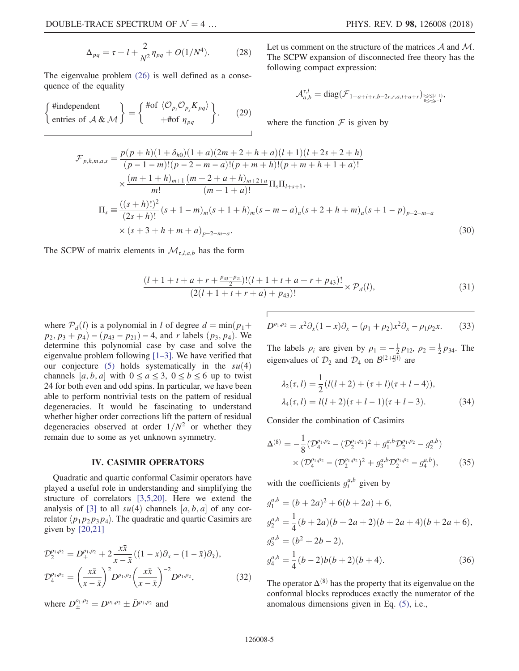The eigenvalue problem [\(26\)](#page-3-3) is well defined as a consequence of the equality

$$
\begin{Bmatrix} \text{Hindependent} \\ \text{entries of } A \& M \end{Bmatrix} = \begin{Bmatrix} \text{#of } \langle \mathcal{O}_{p_i} \mathcal{O}_{p_j} K_{pq} \rangle \\ + \text{#of } \eta_{pq} \end{Bmatrix} . \tag{29}
$$

Let us comment on the structure of the matrices  $A$  and  $M$ . The SCPW expansion of disconnected free theory has the following compact expression:

$$
\mathcal{A}_{a,b}^{\tau,l} = \text{diag}(\mathcal{F}_{1+a+i+r,b-2r,r,a,t+a+r})_{1 \leq i \leq (t-1), \atop 0 \leq r \leq \mu-1}
$$

where the function  $\mathcal F$  is given by

$$
\mathcal{F}_{p,h,m,a,s} = \frac{p(p+h)(1+\delta_{h0})(1+a)(2m+2+h+a)(l+1)(l+2s+2+h)}{(p-1-m)!(p-2-m-a)!(p+m+h)!(p+m+h+1+a)!}\times \frac{(m+1+h)_{m+1}(m+2+a+h)_{m+2+a}}{m!} \Pi_{s} \Pi_{l+s+1},
$$
\n
$$
\Pi_{s} = \frac{((s+h)!)^{2}}{(2s+h)!} (s+1-m)_{m} (s+1+h)_{m} (s-m-a)_{a} (s+2+h+m)_{a} (s+1-p)_{p-2-m-a}
$$
\n
$$
\times (s+3+h+m+a)_{p-2-m-a}.
$$
\n(30)

The SCPW of matrix elements in  $\mathcal{M}_{\tau,l,a,b}$  has the form

$$
\frac{(l+1+t+a+r+\frac{p_{43}-p_{21}}{2})!(l+1+t+a+r+p_{43})!}{(2(l+1+t+r+a)+p_{43})!} \times \mathcal{P}_d(l),\tag{31}
$$

where  $P_d(l)$  is a polynomial in l of degree  $d = \min(p_1 +$  $p_2, p_3 + p_4) - (p_{43} - p_{21}) - 4$ , and r labels  $(p_3, p_4)$ . We determine this polynomial case by case and solve the eigenvalue problem following [1–[3\].](#page-5-0) We have verified that our conjecture [\(5\)](#page-1-3) holds systematically in the  $su(4)$ channels  $[a, b, a]$  with  $0 \le a \le 3$ ,  $0 \le b \le 6$  up to twist 24 for both even and odd spins. In particular, we have been able to perform nontrivial tests on the pattern of residual degeneracies. It would be fascinating to understand whether higher order corrections lift the pattern of residual degeneracies observed at order  $1/N^2$  or whether they remain due to some as yet unknown symmetry.

# IV. CASIMIR OPERATORS

Quadratic and quartic conformal Casimir operators have played a useful role in understanding and simplifying the structure of correlators [\[3,5,20\].](#page-5-11) Here we extend the analysis of [\[3\]](#page-5-11) to all  $su(4)$  channels  $[a, b, a]$  of any correlator  $\langle p_1p_2p_3p_4 \rangle$ . The quadratic and quartic Casimirs are given by [\[20,21\]](#page-6-5)

$$
\mathcal{D}_{2}^{\rho_{1},\rho_{2}} = D_{+}^{\rho_{1},\rho_{2}} + 2 \frac{x \bar{x}}{x - \bar{x}} ((1 - x)\partial_{x} - (1 - \bar{x})\partial_{\bar{x}}),
$$
  

$$
\mathcal{D}_{4}^{\rho_{1},\rho_{2}} = \left(\frac{x \bar{x}}{x - \bar{x}}\right)^{2} D_{-}^{\rho_{1},\rho_{2}} \left(\frac{x \bar{x}}{x - \bar{x}}\right)^{-2} D_{-}^{\rho_{1},\rho_{2}},
$$
(32)

where  $D^{\rho_1,\rho_2}_{\pm} = D^{\rho_1,\rho_2} \pm \bar{D}^{\rho_1,\rho_2}$  and

$$
D^{\rho_1, \rho_2} = x^2 \partial_x (1 - x) \partial_x - (\rho_1 + \rho_2) x^2 \partial_x - \rho_1 \rho_2 x.
$$
 (33)

The labels  $\rho_i$  are given by  $\rho_1 = -\frac{1}{2} p_{12}$ ,  $\rho_2 = \frac{1}{2} p_{34}$ . The eigenvalues of  $\mathcal{D}_2$  and  $\mathcal{D}_4$  on  $\mathcal{B}^{(2+\frac{1}{2}|l)}$  are

$$
\lambda_2(\tau, l) = \frac{1}{2} (l(l+2) + (\tau + l)(\tau + l - 4)),
$$
  
\n
$$
\lambda_4(\tau, l) = l(l+2)(\tau + l - 1)(\tau + l - 3).
$$
 (34)

<span id="page-4-0"></span>Consider the combination of Casimirs

$$
\Delta^{(8)} = -\frac{1}{8} \left( \mathcal{D}_4^{\rho_1, \rho_2} - (\mathcal{D}_2^{\rho_1, \rho_2})^2 + g_1^{a, b} \mathcal{D}_2^{\rho_1, \rho_2} - g_2^{a, b} \right) \times \left( \mathcal{D}_4^{\rho_1, \rho_2} - (\mathcal{D}_2^{\rho_1, \rho_2})^2 + g_3^{a, b} \mathcal{D}_2^{\rho_1, \rho_2} - g_4^{a, b} \right), \tag{35}
$$

with the coefficients  $g_i^{a,b}$  given by

$$
g_1^{a,b} = (b + 2a)^2 + 6(b + 2a) + 6,
$$
  
\n
$$
g_2^{a,b} = \frac{1}{4}(b + 2a)(b + 2a + 2)(b + 2a + 4)(b + 2a + 6),
$$
  
\n
$$
g_3^{a,b} = (b^2 + 2b - 2),
$$
  
\n
$$
g_4^{a,b} = \frac{1}{4}(b - 2)b(b + 2)(b + 4).
$$
\n(36)

The operator  $\Delta^{(8)}$  has the property that its eigenvalue on the conformal blocks reproduces exactly the numerator of the anomalous dimensions given in Eq. [\(5\),](#page-1-3) i.e.,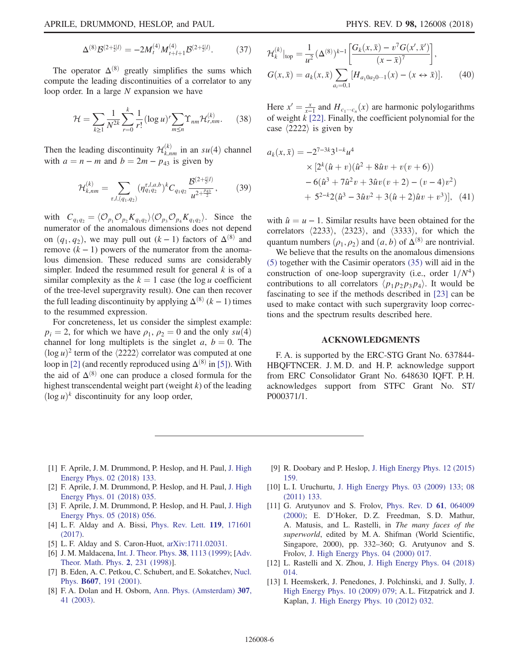$$
\Delta^{(8)}\mathcal{B}^{(2+\frac{r}{2}|l)} = -2M_l^{(4)}M_{l+l+1}^{(4)}\mathcal{B}^{(2+\frac{r}{2}|l)}.\tag{37}
$$

The operator  $\Delta^{(8)}$  greatly simplifies the sums which compute the leading discontinuities of a correlator to any loop order. In a large N expansion we have

$$
\mathcal{H} = \sum_{k \ge 1} \frac{1}{N^{2k}} \sum_{r=0}^{k} \frac{1}{r!} (\log u)^r \sum_{m \le n} \Upsilon_{nm} \mathcal{H}_{r,nm}^{(k)}.
$$
 (38)

Then the leading discontinuity  $\mathcal{H}_{k,nm}^{(k)}$  in an  $su(4)$  channel with  $a = n - m$  and  $b = 2m - p_{43}$  is given by

$$
\mathcal{H}_{k,nm}^{(k)} = \sum_{\tau,l,(q_1,q_2)} (\eta_{q_1q_2}^{\tau,l,a,b})^k C_{q_1q_2} \frac{\mathcal{B}^{(2+\frac{\tau}{2}|l)}}{u^{2+\frac{p_{43}}{2}}},\qquad(39)
$$

with  $C_{q_1q_2} = \langle \mathcal{O}_{p_1} \mathcal{O}_{p_2} K_{q_1q_2} \rangle \langle \mathcal{O}_{p_3} \mathcal{O}_{p_4} K_{q_1q_2} \rangle$ . Since the numerator of the anomalous dimensions does not depend on  $(q_1, q_2)$ , we may pull out  $(k - 1)$  factors of  $\Delta^{(8)}$  and remove  $(k - 1)$  powers of the numerator from the anomalous dimension. These reduced sums are considerably simpler. Indeed the resummed result for general  $k$  is of a similar complexity as the  $k = 1$  case (the log u coefficient of the tree-level supergravity result). One can then recover the full leading discontinuity by applying  $\Delta^{(8)}$  (k – 1) times to the resummed expression.

For concreteness, let us consider the simplest example:  $p_i = 2$ , for which we have  $\rho_1$ ,  $\rho_2 = 0$  and the only su(4) channel for long multiplets is the singlet a,  $b = 0$ . The  $(\log u)^2$  term of the  $\langle 2222 \rangle$  correlator was computed at one loop in [\[2\]](#page-5-1) (and recently reproduced using  $\Delta^{(8)}$  in [\[5\]](#page-5-12)). With the aid of  $\Delta^{(8)}$  one can produce a closed formula for the highest transcendental weight part (weight  $k$ ) of the leading  $(\log u)^k$  discontinuity for any loop order,

$$
\mathcal{H}_k^{(k)}|_{\text{top}} = \frac{1}{u^2} (\Delta^{(8)})^{k-1} \left[ \frac{G_k(x, \bar{x}) - v^7 G(x', \bar{x}')}{(x - \bar{x})^7} \right],
$$
  
\n
$$
G(x, \bar{x}) = a_k(x, \bar{x}) \sum_{a_i = 0, 1} [H_{a_1 0 a_2 0 \cdots 1}(x) - (x \leftrightarrow \bar{x})].
$$
 (40)

Here  $x' = \frac{x}{x-1}$  and  $H_{c_1 \cdots c_n}(x)$  are harmonic polylogarithms of weight  $k$  [\[22\]](#page-6-6). Finally, the coefficient polynomial for the case  $\langle 2222 \rangle$  is given by

$$
a_k(x, \bar{x}) = -2^{7-3k}3^{1-k}u^4
$$
  
\n
$$
\times [2^k(\hat{u} + v)(\hat{u}^2 + 8\hat{u}v + v(v+6))
$$
  
\n
$$
-6(\hat{u}^3 + 7\hat{u}^2v + 3\hat{u}v(v+2) - (v-4)v^2)
$$
  
\n
$$
+ 5^{2-k}2(\hat{u}^3 - 3\hat{u}v^2 + 3(\hat{u}+2)\hat{u}v + v^3)], \quad (41)
$$

with  $\hat{u} = u - 1$ . Similar results have been obtained for the correlators  $\langle 2233 \rangle$ ,  $\langle 2323 \rangle$ , and  $\langle 3333 \rangle$ , for which the quantum numbers  $(\rho_1, \rho_2)$  and  $(a, b)$  of  $\Delta^{(8)}$  are nontrivial.

We believe that the results on the anomalous dimensions [\(5\)](#page-1-3) together with the Casimir operators [\(35\)](#page-4-0) will aid in the construction of one-loop supergravity (i.e., order  $1/N^4$ ) contributions to all correlators  $\langle p_1p_2p_3p_4 \rangle$ . It would be fascinating to see if the methods described in [\[23\]](#page-6-7) can be used to make contact with such supergravity loop corrections and the spectrum results described here.

### ACKNOWLEDGMENTS

F. A. is supported by the ERC-STG Grant No. 637844- HBQFTNCER. J. M. D. and H. P. acknowledge support from ERC Consolidator Grant No. 648630 IQFT. P. H. acknowledges support from STFC Grant No. ST/ P000371/1.

- <span id="page-5-0"></span>[1] F. Aprile, J. M. Drummond, P. Heslop, and H. Paul, [J. High](https://doi.org/10.1007/JHEP02(2018)133) [Energy Phys. 02 \(2018\) 133.](https://doi.org/10.1007/JHEP02(2018)133)
- <span id="page-5-1"></span>[2] F. Aprile, J. M. Drummond, P. Heslop, and H. Paul, [J. High](https://doi.org/10.1007/JHEP01(2018)035) [Energy Phys. 01 \(2018\) 035.](https://doi.org/10.1007/JHEP01(2018)035)
- <span id="page-5-11"></span>[3] F. Aprile, J. M. Drummond, P. Heslop, and H. Paul, [J. High](https://doi.org/10.1007/JHEP05(2018)056) [Energy Phys. 05 \(2018\) 056.](https://doi.org/10.1007/JHEP05(2018)056)
- <span id="page-5-2"></span>[4] L. F. Alday and A. Bissi, [Phys. Rev. Lett.](https://doi.org/10.1103/PhysRevLett.119.171601) 119, 171601 [\(2017\).](https://doi.org/10.1103/PhysRevLett.119.171601)
- <span id="page-5-12"></span><span id="page-5-3"></span>[5] L. F. Alday and S. Caron-Huot, [arXiv:1711.02031.](http://arXiv.org/abs/1711.02031)
- [6] J. M. Maldacena, [Int. J. Theor. Phys.](https://doi.org/10.1023/A:1026654312961) 38, 1113 (1999); [[Adv.](https://doi.org/10.4310/ATMP.1998.v2.n2.a1) [Theor. Math. Phys.](https://doi.org/10.4310/ATMP.1998.v2.n2.a1) 2, 231 (1998)].
- <span id="page-5-4"></span>[7] B. Eden, A. C. Petkou, C. Schubert, and E. Sokatchev, [Nucl.](https://doi.org/10.1016/S0550-3213(01)00151-1) Phys. B607[, 191 \(2001\).](https://doi.org/10.1016/S0550-3213(01)00151-1)
- <span id="page-5-5"></span>[8] F. A. Dolan and H. Osborn, [Ann. Phys. \(Amsterdam\)](https://doi.org/10.1016/S0003-4916(03)00074-5) 307, [41 \(2003\).](https://doi.org/10.1016/S0003-4916(03)00074-5)
- <span id="page-5-10"></span>[9] R. Doobary and P. Heslop, [J. High Energy Phys. 12 \(2015\)](https://doi.org/10.1007/JHEP12(2015)159) [159.](https://doi.org/10.1007/JHEP12(2015)159)
- <span id="page-5-6"></span>[10] L. I. Uruchurtu, [J. High Energy Phys. 03 \(2009\) 133;](https://doi.org/10.1088/1126-6708/2009/03/133) [08](https://doi.org/10.1007/JHEP08(2011)133) [\(2011\) 133.](https://doi.org/10.1007/JHEP08(2011)133)
- <span id="page-5-7"></span>[11] G. Arutyunov and S. Frolov, [Phys. Rev. D](https://doi.org/10.1103/PhysRevD.61.064009) 61, 064009 [\(2000\);](https://doi.org/10.1103/PhysRevD.61.064009) E. D'Hoker, D. Z. Freedman, S. D. Mathur, A. Matusis, and L. Rastelli, in The many faces of the superworld, edited by M.A. Shifman (World Scientific, Singapore, 2000), pp. 332–360; G. Arutyunov and S. Frolov, [J. High Energy Phys. 04 \(2000\) 017.](https://doi.org/10.1088/1126-6708/2000/04/017)
- <span id="page-5-9"></span>[12] L. Rastelli and X. Zhou, [J. High Energy Phys. 04 \(2018\)](https://doi.org/10.1007/JHEP04(2018)014) [014.](https://doi.org/10.1007/JHEP04(2018)014)
- <span id="page-5-8"></span>[13] I. Heemskerk, J. Penedones, J. Polchinski, and J. Sully, [J.](https://doi.org/10.1088/1126-6708/2009/10/079) [High Energy Phys. 10 \(2009\) 079;](https://doi.org/10.1088/1126-6708/2009/10/079) A. L. Fitzpatrick and J. Kaplan, [J. High Energy Phys. 10 \(2012\) 032.](https://doi.org/10.1007/JHEP10(2012)032)